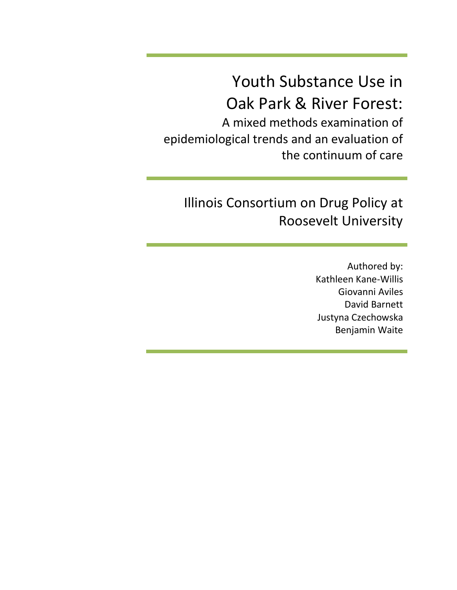Youth Substance Use in Oak Park & River Forest:

A mixed methods examination of epidemiological trends and an evaluation of the continuum of care

# Illinois Consortium on Drug Policy at Roosevelt University

Authored by: Kathleen Kane-Willis Giovanni Aviles David Barnett Justyna Czechowska Benjamin Waite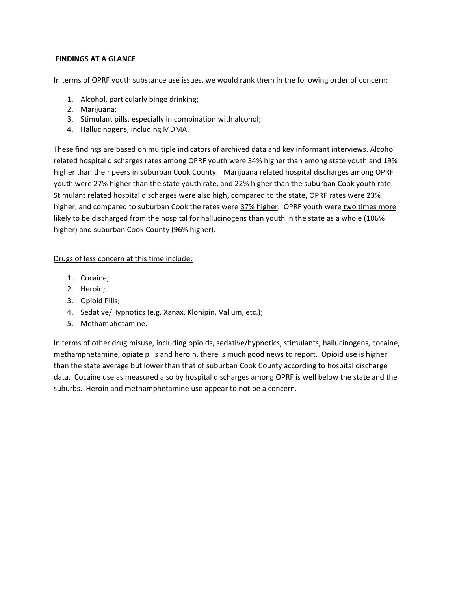## **FINDINGS AT A GLANCE**

In terms of OPRF youth substance use issues, we would rank them in the following order of concern:

- 1. Alcohol, particularly binge drinking;
- 2. Marijuana;
- 3. Stimulant pills, especially in combination with alcohol;
- 4. Hallucinogens, including MDMA.

These findings are based on multiple indicators of archived data and key informant interviews. Alcohol related hospital discharges rates among OPRF youth were 34% higher than among state youth and 19% higher than their peers in suburban Cook County. Marijuana related hospital discharges among OPRF youth were 27% higher than the state youth rate, and 22% higher than the suburban Cook youth rate. Stimulant related hospital discharges were also high, compared to the state, OPRF rates were 23% higher, and compared to suburban Cook the rates were 37% higher. OPRF youth were two times more likely to be discharged from the hospital for hallucinogens than youth in the state as a whole (106% higher) and suburban Cook County (96% higher).

#### Drugs of less concern at this time include:

- 1. Cocaine;
- 2. Heroin;
- 3. Opioid Pills;
- 4. Sedative/Hypnotics (e.g. Xanax, Klonipin, Valium, etc.);
- 5. Methamphetamine.

In terms of other drug misuse, including opioids, sedative/hypnotics, stimulants, hallucinogens, cocaine, methamphetamine, opiate pills and heroin, there is much good news to report. Opioid use is higher than the state average but lower than that of suburban Cook County according to hospital discharge data. Cocaine use as measured also by hospital discharges among OPRF is well below the state and the suburbs. Heroin and methamphetamine use appear to not be a concern.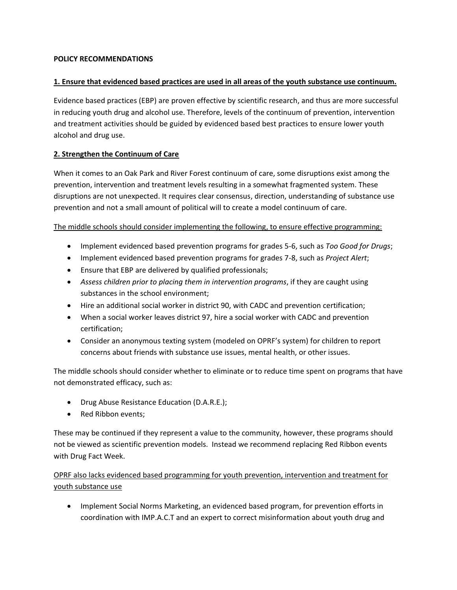## **POLICY RECOMMENDATIONS**

#### **1. Ensure that evidenced based practices are used in all areas of the youth substance use continuum.**

Evidence based practices (EBP) are proven effective by scientific research, and thus are more successful in reducing youth drug and alcohol use. Therefore, levels of the continuum of prevention, intervention and treatment activities should be guided by evidenced based best practices to ensure lower youth alcohol and drug use.

### **2. Strengthen the Continuum of Care**

When it comes to an Oak Park and River Forest continuum of care, some disruptions exist among the prevention, intervention and treatment levels resulting in a somewhat fragmented system. These disruptions are not unexpected. It requires clear consensus, direction, understanding of substance use prevention and not a small amount of political will to create a model continuum of care.

#### The middle schools should consider implementing the following, to ensure effective programming:

- Implement evidenced based prevention programs for grades 5-6, such as *Too Good for Drugs*;
- Implement evidenced based prevention programs for grades 7-8, such as *Project Alert*;
- Ensure that EBP are delivered by qualified professionals;
- *Assess children prior to placing them in intervention programs*, if they are caught using substances in the school environment;
- Hire an additional social worker in district 90, with CADC and prevention certification;
- When a social worker leaves district 97, hire a social worker with CADC and prevention certification;
- Consider an anonymous texting system (modeled on OPRF's system) for children to report concerns about friends with substance use issues, mental health, or other issues.

The middle schools should consider whether to eliminate or to reduce time spent on programs that have not demonstrated efficacy, such as:

- **•** Drug Abuse Resistance Education (D.A.R.E.);
- Red Ribbon events;

These may be continued if they represent a value to the community, however, these programs should not be viewed as scientific prevention models. Instead we recommend replacing Red Ribbon events with Drug Fact Week.

OPRF also lacks evidenced based programming for youth prevention, intervention and treatment for youth substance use

• Implement Social Norms Marketing, an evidenced based program, for prevention efforts in coordination with IMP.A.C.T and an expert to correct misinformation about youth drug and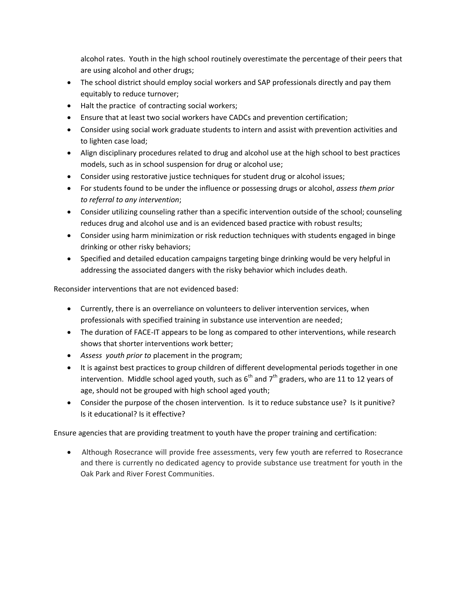alcohol rates. Youth in the high school routinely overestimate the percentage of their peers that are using alcohol and other drugs;

- The school district should employ social workers and SAP professionals directly and pay them equitably to reduce turnover;
- Halt the practice of contracting social workers;
- Ensure that at least two social workers have CADCs and prevention certification;
- Consider using social work graduate students to intern and assist with prevention activities and to lighten case load;
- Align disciplinary procedures related to drug and alcohol use at the high school to best practices models, such as in school suspension for drug or alcohol use;
- Consider using restorative justice techniques for student drug or alcohol issues;
- For students found to be under the influence or possessing drugs or alcohol, *assess them prior to referral to any intervention*;
- Consider utilizing counseling rather than a specific intervention outside of the school; counseling reduces drug and alcohol use and is an evidenced based practice with robust results;
- Consider using harm minimization or risk reduction techniques with students engaged in binge drinking or other risky behaviors;
- Specified and detailed education campaigns targeting binge drinking would be very helpful in addressing the associated dangers with the risky behavior which includes death.

Reconsider interventions that are not evidenced based:

- Currently, there is an overreliance on volunteers to deliver intervention services, when professionals with specified training in substance use intervention are needed;
- The duration of FACE-IT appears to be long as compared to other interventions, while research shows that shorter interventions work better;
- *Assess youth prior to* placement in the program;
- It is against best practices to group children of different developmental periods together in one intervention. Middle school aged youth, such as  $6<sup>th</sup>$  and  $7<sup>th</sup>$  graders, who are 11 to 12 years of age, should not be grouped with high school aged youth;
- Consider the purpose of the chosen intervention. Is it to reduce substance use? Is it punitive? Is it educational? Is it effective?

Ensure agencies that are providing treatment to youth have the proper training and certification:

 Although Rosecrance will provide free assessments, very few youth are referred to Rosecrance and there is currently no dedicated agency to provide substance use treatment for youth in the Oak Park and River Forest Communities.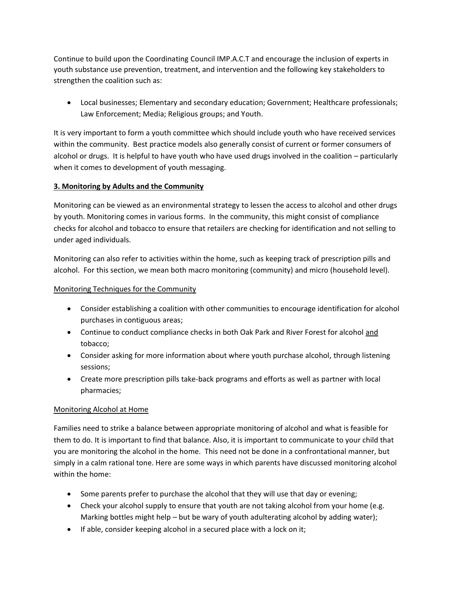Continue to build upon the Coordinating Council IMP.A.C.T and encourage the inclusion of experts in youth substance use prevention, treatment, and intervention and the following key stakeholders to strengthen the coalition such as:

 Local businesses; Elementary and secondary education; Government; Healthcare professionals; Law Enforcement; Media; Religious groups; and Youth.

It is very important to form a youth committee which should include youth who have received services within the community. Best practice models also generally consist of current or former consumers of alcohol or drugs. It is helpful to have youth who have used drugs involved in the coalition – particularly when it comes to development of youth messaging.

# **3. Monitoring by Adults and the Community**

Monitoring can be viewed as an environmental strategy to lessen the access to alcohol and other drugs by youth. Monitoring comes in various forms. In the community, this might consist of compliance checks for alcohol and tobacco to ensure that retailers are checking for identification and not selling to under aged individuals.

Monitoring can also refer to activities within the home, such as keeping track of prescription pills and alcohol. For this section, we mean both macro monitoring (community) and micro (household level).

# Monitoring Techniques for the Community

- Consider establishing a coalition with other communities to encourage identification for alcohol purchases in contiguous areas;
- Continue to conduct compliance checks in both Oak Park and River Forest for alcohol and tobacco;
- Consider asking for more information about where youth purchase alcohol, through listening sessions;
- Create more prescription pills take-back programs and efforts as well as partner with local pharmacies;

# Monitoring Alcohol at Home

Families need to strike a balance between appropriate monitoring of alcohol and what is feasible for them to do. It is important to find that balance. Also, it is important to communicate to your child that you are monitoring the alcohol in the home. This need not be done in a confrontational manner, but simply in a calm rational tone. Here are some ways in which parents have discussed monitoring alcohol within the home:

- Some parents prefer to purchase the alcohol that they will use that day or evening;
- Check your alcohol supply to ensure that youth are not taking alcohol from your home (e.g. Marking bottles might help – but be wary of youth adulterating alcohol by adding water);
- $\bullet$  If able, consider keeping alcohol in a secured place with a lock on it;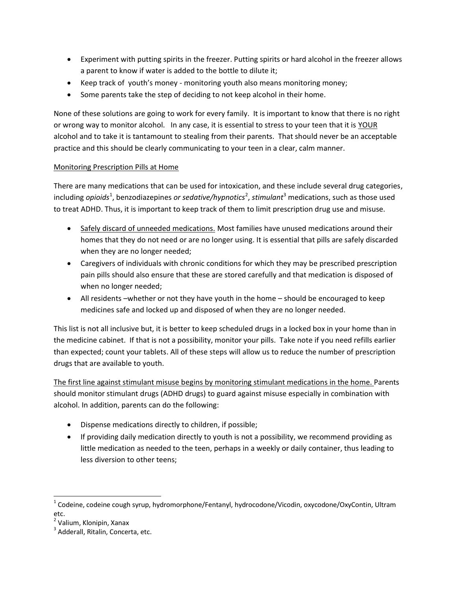- Experiment with putting spirits in the freezer. Putting spirits or hard alcohol in the freezer allows a parent to know if water is added to the bottle to dilute it;
- Keep track of youth's money monitoring youth also means monitoring money;
- Some parents take the step of deciding to not keep alcohol in their home.

None of these solutions are going to work for every family. It is important to know that there is no right or wrong way to monitor alcohol. In any case, it is essential to stress to your teen that it is YOUR alcohol and to take it is tantamount to stealing from their parents. That should never be an acceptable practice and this should be clearly communicating to your teen in a clear, calm manner.

## Monitoring Prescription Pills at Home

There are many medications that can be used for intoxication, and these include several drug categories, including *opioids*<sup>1</sup>, benzodiazepines *or sedative/hypnotics<sup>2</sup>, stimulant*<sup>3</sup> medications, such as those used to treat ADHD. Thus, it is important to keep track of them to limit prescription drug use and misuse.

- Safely discard of unneeded medications. Most families have unused medications around their homes that they do not need or are no longer using. It is essential that pills are safely discarded when they are no longer needed;
- Caregivers of individuals with chronic conditions for which they may be prescribed prescription pain pills should also ensure that these are stored carefully and that medication is disposed of when no longer needed;
- All residents –whether or not they have youth in the home should be encouraged to keep medicines safe and locked up and disposed of when they are no longer needed.

This list is not all inclusive but, it is better to keep scheduled drugs in a locked box in your home than in the medicine cabinet. If that is not a possibility, monitor your pills. Take note if you need refills earlier than expected; count your tablets. All of these steps will allow us to reduce the number of prescription drugs that are available to youth.

The first line against stimulant misuse begins by monitoring stimulant medications in the home. Parents should monitor stimulant drugs (ADHD drugs) to guard against misuse especially in combination with alcohol. In addition, parents can do the following:

- Dispense medications directly to children, if possible;
- If providing daily medication directly to youth is not a possibility, we recommend providing as little medication as needed to the teen, perhaps in a weekly or daily container, thus leading to less diversion to other teens;

 $\overline{\phantom{a}}$ 

 $^1$  Codeine, codeine cough syrup, hydromorphone/Fentanyl, hydrocodone/Vicodin, oxycodone/OxyContin, Ultram etc.

<sup>&</sup>lt;sup>2</sup> Valium, Klonipin, Xanax

<sup>&</sup>lt;sup>3</sup> Adderall, Ritalin, Concerta, etc.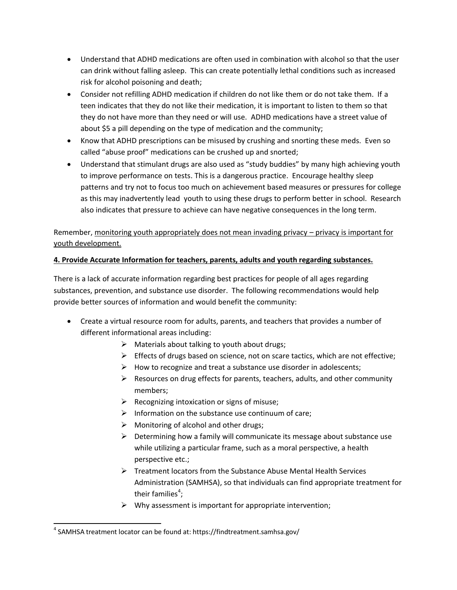- Understand that ADHD medications are often used in combination with alcohol so that the user can drink without falling asleep. This can create potentially lethal conditions such as increased risk for alcohol poisoning and death;
- Consider not refilling ADHD medication if children do not like them or do not take them. If a teen indicates that they do not like their medication, it is important to listen to them so that they do not have more than they need or will use. ADHD medications have a street value of about \$5 a pill depending on the type of medication and the community;
- Know that ADHD prescriptions can be misused by crushing and snorting these meds. Even so called "abuse proof" medications can be crushed up and snorted;
- Understand that stimulant drugs are also used as "study buddies" by many high achieving youth to improve performance on tests. This is a dangerous practice. Encourage healthy sleep patterns and try not to focus too much on achievement based measures or pressures for college as this may inadvertently lead youth to using these drugs to perform better in school. Research also indicates that pressure to achieve can have negative consequences in the long term.

Remember, monitoring youth appropriately does not mean invading privacy – privacy is important for youth development.

# **4. Provide Accurate Information for teachers, parents, adults and youth regarding substances.**

There is a lack of accurate information regarding best practices for people of all ages regarding substances, prevention, and substance use disorder. The following recommendations would help provide better sources of information and would benefit the community:

- Create a virtual resource room for adults, parents, and teachers that provides a number of different informational areas including:
	- $\triangleright$  Materials about talking to youth about drugs;
	- $\triangleright$  Effects of drugs based on science, not on scare tactics, which are not effective;
	- $\triangleright$  How to recognize and treat a substance use disorder in adolescents;
	- $\triangleright$  Resources on drug effects for parents, teachers, adults, and other community members;
	- $\triangleright$  Recognizing intoxication or signs of misuse;
	- $\triangleright$  Information on the substance use continuum of care;
	- $\triangleright$  Monitoring of alcohol and other drugs;
	- $\triangleright$  Determining how a family will communicate its message about substance use while utilizing a particular frame, such as a moral perspective, a health perspective etc.;
	- $\triangleright$  Treatment locators from the Substance Abuse Mental Health Services Administration (SAMHSA), so that individuals can find appropriate treatment for their families<sup>4</sup>;
	- $\triangleright$  Why assessment is important for appropriate intervention;

 $\overline{\phantom{a}}$ <sup>4</sup> SAMHSA treatment locator can be found at: https://findtreatment.samhsa.gov/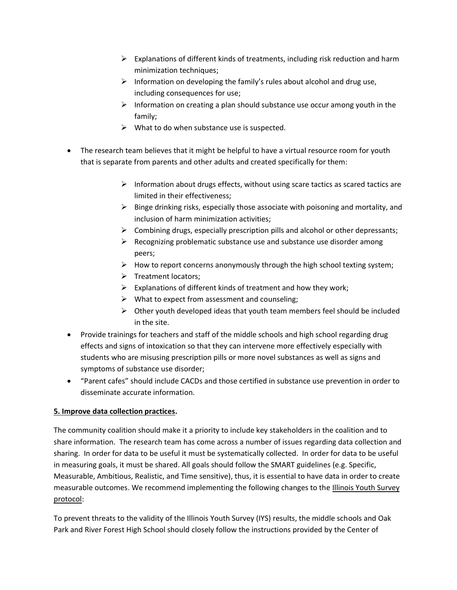- $\triangleright$  Explanations of different kinds of treatments, including risk reduction and harm minimization techniques;
- $\triangleright$  Information on developing the family's rules about alcohol and drug use, including consequences for use;
- $\triangleright$  Information on creating a plan should substance use occur among youth in the family;
- $\triangleright$  What to do when substance use is suspected.
- The research team believes that it might be helpful to have a virtual resource room for youth that is separate from parents and other adults and created specifically for them:
	- $\triangleright$  Information about drugs effects, without using scare tactics as scared tactics are limited in their effectiveness;
	- $\triangleright$  Binge drinking risks, especially those associate with poisoning and mortality, and inclusion of harm minimization activities;
	- $\triangleright$  Combining drugs, especially prescription pills and alcohol or other depressants;
	- $\triangleright$  Recognizing problematic substance use and substance use disorder among peers;
	- $\triangleright$  How to report concerns anonymously through the high school texting system;
	- $\triangleright$  Treatment locators;
	- $\triangleright$  Explanations of different kinds of treatment and how they work;
	- $\triangleright$  What to expect from assessment and counseling;
	- $\triangleright$  Other youth developed ideas that youth team members feel should be included in the site.
- Provide trainings for teachers and staff of the middle schools and high school regarding drug effects and signs of intoxication so that they can intervene more effectively especially with students who are misusing prescription pills or more novel substances as well as signs and symptoms of substance use disorder;
- "Parent cafes" should include CACDs and those certified in substance use prevention in order to disseminate accurate information.

## **5. Improve data collection practices.**

The community coalition should make it a priority to include key stakeholders in the coalition and to share information.The research team has come across a number of issues regarding data collection and sharing. In order for data to be useful it must be systematically collected. In order for data to be useful in measuring goals, it must be shared. All goals should follow the SMART guidelines (e.g. Specific, Measurable, Ambitious, Realistic, and Time sensitive), thus, it is essential to have data in order to create measurable outcomes. We recommend implementing the following changes to the Illinois Youth Survey protocol:

To prevent threats to the validity of the Illinois Youth Survey (IYS) results, the middle schools and Oak Park and River Forest High School should closely follow the instructions provided by the Center of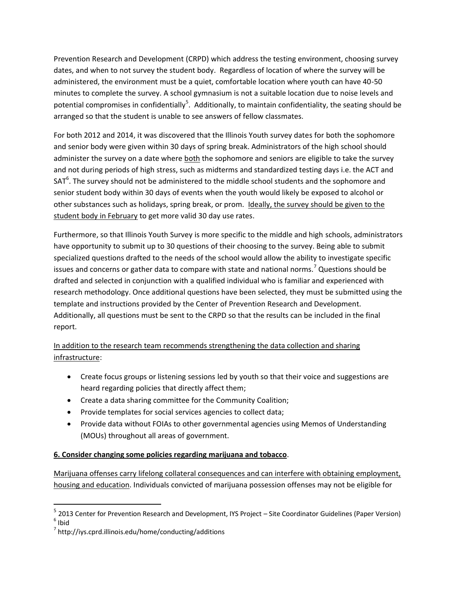Prevention Research and Development (CRPD) which address the testing environment, choosing survey dates, and when to not survey the student body. Regardless of location of where the survey will be administered, the environment must be a quiet, comfortable location where youth can have 40-50 minutes to complete the survey. A school gymnasium is not a suitable location due to noise levels and potential compromises in confidentially<sup>5</sup>. Additionally, to maintain confidentiality, the seating should be arranged so that the student is unable to see answers of fellow classmates.

For both 2012 and 2014, it was discovered that the Illinois Youth survey dates for both the sophomore and senior body were given within 30 days of spring break. Administrators of the high school should administer the survey on a date where both the sophomore and seniors are eligible to take the survey and not during periods of high stress, such as midterms and standardized testing days i.e. the ACT and  $SAT<sup>6</sup>$ . The survey should not be administered to the middle school students and the sophomore and senior student body within 30 days of events when the youth would likely be exposed to alcohol or other substances such as holidays, spring break, or prom. Ideally, the survey should be given to the student body in February to get more valid 30 day use rates.

Furthermore, so that Illinois Youth Survey is more specific to the middle and high schools, administrators have opportunity to submit up to 30 questions of their choosing to the survey. Being able to submit specialized questions drafted to the needs of the school would allow the ability to investigate specific issues and concerns or gather data to compare with state and national norms.<sup>7</sup> Questions should be drafted and selected in conjunction with a qualified individual who is familiar and experienced with research methodology. Once additional questions have been selected, they must be submitted using the template and instructions provided by the Center of Prevention Research and Development. Additionally, all questions must be sent to the CRPD so that the results can be included in the final report.

In addition to the research team recommends strengthening the data collection and sharing infrastructure:

- Create focus groups or listening sessions led by youth so that their voice and suggestions are heard regarding policies that directly affect them;
- Create a data sharing committee for the Community Coalition;
- Provide templates for social services agencies to collect data;
- Provide data without FOIAs to other governmental agencies using Memos of Understanding (MOUs) throughout all areas of government.

## **6. Consider changing some policies regarding marijuana and tobacco**.

Marijuana offenses carry lifelong collateral consequences and can interfere with obtaining employment, housing and education. Individuals convicted of marijuana possession offenses may not be eligible for

 $\overline{\phantom{a}}$ 

<sup>&</sup>lt;sup>5</sup> 2013 Center for Prevention Research and Development, IYS Project – Site Coordinator Guidelines (Paper Version) 6 Ibid

<sup>&</sup>lt;sup>7</sup> http://iys.cprd.illinois.edu/home/conducting/additions